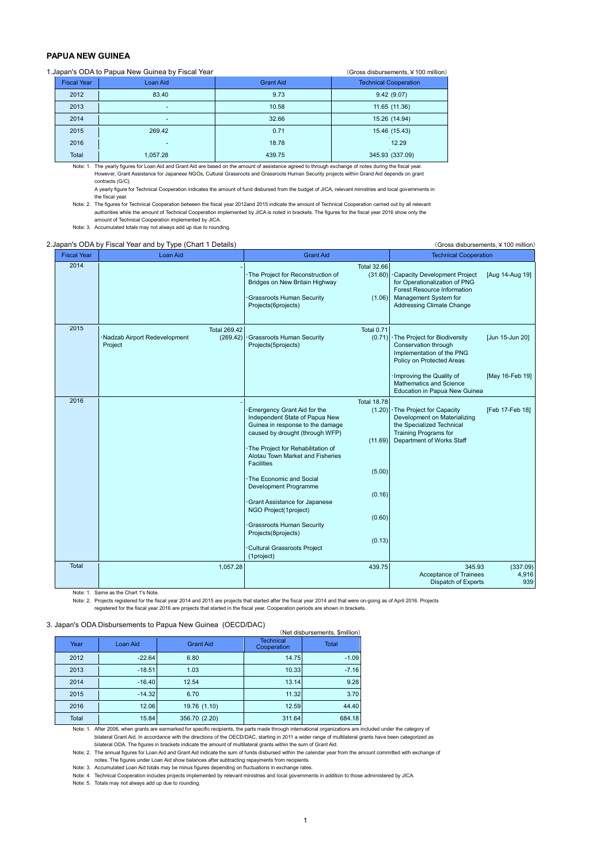## **PAPUA NEW GUINEA**

| 1. Japan's ODA to Papua New Guinea by Fiscal Year<br>(Gross disbursements, ¥100 million) |                    |                          |                  |                              |  |  |  |  |
|------------------------------------------------------------------------------------------|--------------------|--------------------------|------------------|------------------------------|--|--|--|--|
|                                                                                          | <b>Fiscal Year</b> | Loan Aid                 | <b>Grant Aid</b> | <b>Technical Cooperation</b> |  |  |  |  |
|                                                                                          | 2012               | 83.40                    | 9.73             | 9.42(9.07)                   |  |  |  |  |
|                                                                                          | 2013               | -                        | 10.58            | 11.65 (11.36)                |  |  |  |  |
|                                                                                          | 2014               | $\overline{\phantom{a}}$ | 32.66            | 15.26 (14.94)                |  |  |  |  |
|                                                                                          | 2015               | 269.42                   | 0.71             | 15.46 (15.43)                |  |  |  |  |
|                                                                                          | 2016               | -                        | 18.78            | 12.29                        |  |  |  |  |
|                                                                                          | Total              | 1.057.28                 | 439.75           | 345.93 (337.09)              |  |  |  |  |

Note: 1. The yearly figures for Loan Aid and Grant Aid are based on the amount of assistance agreed to through exchange of notes during the fiscal year. However, Grant Assistance for Japanese NGOs, Cultural Grassroots and Grassroots Human Security projects within Grand Aid depends on grant contracts (G/C).

A yearly figure for Technical Cooperation indicates the amount of fund disbursed from the budget of JICA, relevant ministries and local governments in the fiscal year.

Note: 2. The figures for Technical Cooperation between the fiscal year 2012and 2015 indicate the amount of Technical Cooperation carried out by all relevant authorities while the amount of Technical Cooperation implemented by JICA is noted in brackets. The figures for the fiscal year 2016 show only the amount of Technical Cooperation implemented by JICA.

Note: 3. Accumulated totals may not always add up due to rounding.

## 2.Japan's ODA by Fiscal Year and by Type (Chart 1 Details) (Gross disbursements, ¥100 million)

| <b>Fiscal Year</b> | <b>Loan Aid</b>                                                            | <b>Grant Aid</b>                                                                                                                                                                                                                                                                                                                                                                                                                                                                                                                            | <b>Technical Cooperation</b>                                                                                                                                                       |  |  |  |  |
|--------------------|----------------------------------------------------------------------------|---------------------------------------------------------------------------------------------------------------------------------------------------------------------------------------------------------------------------------------------------------------------------------------------------------------------------------------------------------------------------------------------------------------------------------------------------------------------------------------------------------------------------------------------|------------------------------------------------------------------------------------------------------------------------------------------------------------------------------------|--|--|--|--|
| 2014               |                                                                            | <b>Total 32.66</b><br>The Project for Reconstruction of<br>(31.60)<br>Bridges on New Britain Highway<br>Grassroots Human Security<br>(1.06)<br>Projects(6projects)                                                                                                                                                                                                                                                                                                                                                                          | Capacity Development Project<br>[Aug 14-Aug 19]<br>for Operationalization of PNG<br>Forest Resource Information<br>Management System for<br>Addressing Climate Change              |  |  |  |  |
| 2015               | <b>Total 269.42</b><br>Nadzab Airport Redevelopment<br>(269.42)<br>Project | Total 0.71<br>· Grassroots Human Security<br>(0.71)<br>Projects(5projects)                                                                                                                                                                                                                                                                                                                                                                                                                                                                  | [Jun 15-Jun 20]<br>· The Project for Biodiversity<br>Conservation through<br>Implementation of the PNG<br>Policy on Protected Areas<br>Improving the Quality of<br>[May 16-Feb 19] |  |  |  |  |
|                    |                                                                            |                                                                                                                                                                                                                                                                                                                                                                                                                                                                                                                                             | Mathematics and Science<br>Education in Papua New Guinea                                                                                                                           |  |  |  |  |
| 2016               |                                                                            | <b>Total 18.78</b><br>Emergency Grant Aid for the<br>(1.20)<br>Independent State of Papua New<br>Guinea in response to the damage<br>caused by drought (through WFP)<br>(11.69)<br>The Project for Rehabilitation of<br>Alotau Town Market and Fisheries<br><b>Facilities</b><br>(5.00)<br>The Economic and Social<br>Development Programme<br>(0.16)<br>Grant Assistance for Japanese<br>NGO Project(1project)<br>(0.60)<br><b>Grassroots Human Security</b><br>Projects(8projects)<br>(0.13)<br>Cultural Grassroots Project<br>(1project) | · The Project for Capacity<br>[Feb 17-Feb 18]<br>Development on Materializing<br>the Specialized Technical<br><b>Training Programs for</b><br>Department of Works Staff            |  |  |  |  |
| Total              | 1,057.28                                                                   | 439.75                                                                                                                                                                                                                                                                                                                                                                                                                                                                                                                                      | 345.93<br>(337.09)<br>4,916<br>Acceptance of Trainees<br>Dispatch of Experts<br>939                                                                                                |  |  |  |  |

Note: 1. Same as the Chart 1's Note.

Note: 2. Projects registered for the fiscal year 2014 and 2015 are projects that started after the fiscal year 2014 and that were on-going as of April 2016. Projects

registered for the fiscal year 2016 are projects that started in the fiscal year. Cooperation periods are shown in brackets.

## 3. Japan's ODA Disbursements to Papua New Guinea (OECD/DAC)

| Japan's ODA Disbursements to Papua New Guinea (OECD/DAC) |          |                  |                                 |              |  |  |  |  |  |  |
|----------------------------------------------------------|----------|------------------|---------------------------------|--------------|--|--|--|--|--|--|
| (Net disbursements, \$million)                           |          |                  |                                 |              |  |  |  |  |  |  |
| Year                                                     | Loan Aid | <b>Grant Aid</b> | <b>Technical</b><br>Cooperation | <b>Total</b> |  |  |  |  |  |  |
| 2012                                                     | $-22.64$ | 6.80             | 14.75                           | $-1.09$      |  |  |  |  |  |  |
| 2013                                                     | $-18.51$ | 1.03             | 10.33                           | $-7.16$      |  |  |  |  |  |  |
| 2014                                                     | $-16.40$ | 12.54            | 13.14                           | 9.28         |  |  |  |  |  |  |
| 2015                                                     | $-14.32$ | 6.70             | 11.32                           | 3.70         |  |  |  |  |  |  |
| 2016                                                     | 12.06    | 19.76 (1.10)     | 12.59                           | 44.40        |  |  |  |  |  |  |
| Total                                                    | 15.84    | 356.70 (2.20)    | 311.64                          | 684.18       |  |  |  |  |  |  |

Note: 1. After 2006, when grants are earmarked for specific recipients, the parts made through international organizations are included under the category of bilateral Grant Aid. In accordance with the directions of the OECD/DAC, starting in 2011 a wider range of multilateral grants have been categorized as

bilateral ODA. The figures in brackets indicate the amount of multilateral grants within the sum of Grant Aid. Note: 2. The annual figures for Loan Aid and Grant Aid indicate the sum of funds disbursed within the calendar year from the amount committed with exchange of

notes. The figures under Loan Aid show balances after subtracting repayments from recipients.

Note: 3. Accumulated Loan Aid totals may be minus figures depending on fluctuations in exchange rates.

Note: 4. Technical Cooperation includes projects implemented by relevant ministries and local governments in addition to those administered by JICA.

Note: 5. Totals may not always add up due to rounding.